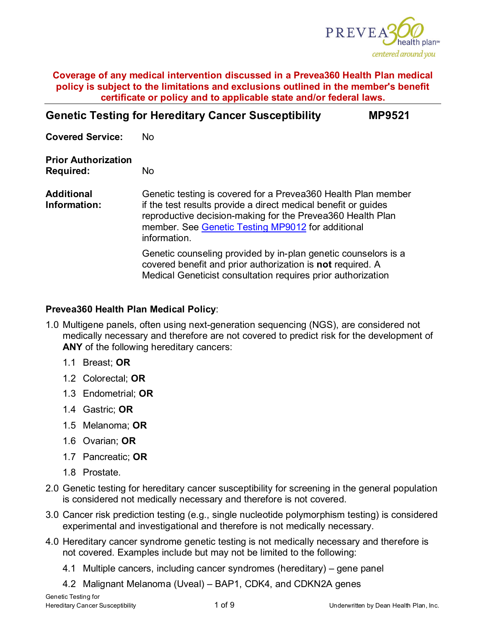

| <b>Genetic Testing for Hereditary Cancer Susceptibility</b> | <b>MP9521</b> |
|-------------------------------------------------------------|---------------|
|-------------------------------------------------------------|---------------|

**Covered Service:** No **Prior Authorization Required:** No **Additional Information:** Genetic testing is covered for a Prevea360 Health Plan member if the test results provide a direct medical benefit or guides reproductive decision-making for the Prevea360 Health Plan member. See [Genetic Testing MP9012](https://www.prevea360.com/Document-Library/PDF/Medical-Policies/Genetic-Testing-9012.aspx) for additional information. Genetic counseling provided by in-plan genetic counselors is a covered benefit and prior authorization is **not** required. A Medical Geneticist consultation requires prior authorization

# **Prevea360 Health Plan Medical Policy**:

- 1.0 Multigene panels, often using next-generation sequencing (NGS), are considered not medically necessary and therefore are not covered to predict risk for the development of **ANY** of the following hereditary cancers:
	- 1.1 Breast; **OR**
	- 1.2 Colorectal; **OR**
	- 1.3 Endometrial; **OR**
	- 1.4 Gastric; **OR**
	- 1.5 Melanoma; **OR**
	- 1.6 Ovarian; **OR**
	- 1.7 Pancreatic; **OR**
	- 1.8 Prostate.
- 2.0 Genetic testing for hereditary cancer susceptibility for screening in the general population is considered not medically necessary and therefore is not covered.
- 3.0 Cancer risk prediction testing (e.g., single nucleotide polymorphism testing) is considered experimental and investigational and therefore is not medically necessary.
- 4.0 Hereditary cancer syndrome genetic testing is not medically necessary and therefore is not covered. Examples include but may not be limited to the following:
	- 4.1 Multiple cancers, including cancer syndromes (hereditary) gene panel
	- 4.2 Malignant Melanoma (Uveal) BAP1, CDK4, and CDKN2A genes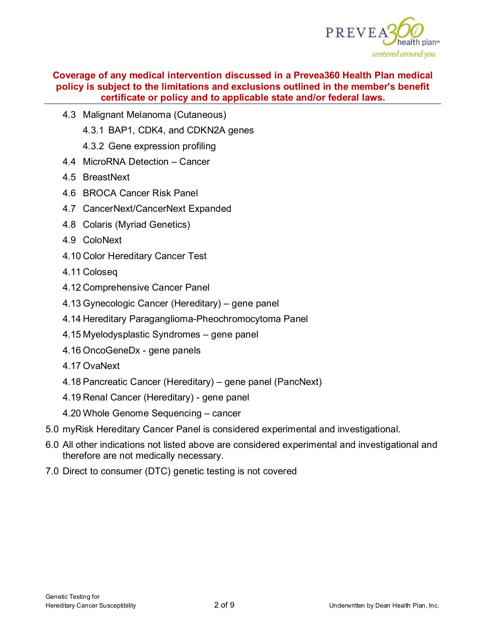

- 4.3 Malignant Melanoma (Cutaneous)
	- 4.3.1 BAP1, CDK4, and CDKN2A genes
	- 4.3.2 Gene expression profiling
- 4.4 MicroRNA Detection Cancer
- 4.5 BreastNext
- 4.6 BROCA Cancer Risk Panel
- 4.7 CancerNext/CancerNext Expanded
- 4.8 Colaris (Myriad Genetics)
- 4.9 ColoNext
- 4.10 Color Hereditary Cancer Test
- 4.11 Coloseq
- 4.12 Comprehensive Cancer Panel
- 4.13 Gynecologic Cancer (Hereditary) gene panel
- 4.14 Hereditary Paraganglioma-Pheochromocytoma Panel
- 4.15 Myelodysplastic Syndromes gene panel
- 4.16 OncoGeneDx gene panels
- 4.17 OvaNext
- 4.18 Pancreatic Cancer (Hereditary) gene panel (PancNext)
- 4.19 Renal Cancer (Hereditary) gene panel
- 4.20 Whole Genome Sequencing cancer
- 5.0 myRisk Hereditary Cancer Panel is considered experimental and investigational.
- 6.0 All other indications not listed above are considered experimental and investigational and therefore are not medically necessary.
- 7.0 Direct to consumer (DTC) genetic testing is not covered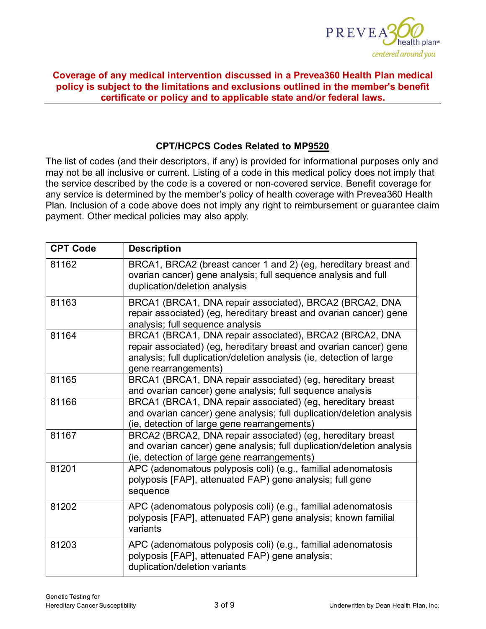

# **CPT/HCPCS Codes Related to MP9520**

The list of codes (and their descriptors, if any) is provided for informational purposes only and may not be all inclusive or current. Listing of a code in this medical policy does not imply that the service described by the code is a covered or non-covered service. Benefit coverage for any service is determined by the member's policy of health coverage with Prevea360 Health Plan. Inclusion of a code above does not imply any right to reimbursement or guarantee claim payment. Other medical policies may also apply*.*

| <b>CPT Code</b> | <b>Description</b>                                                                                                                                                                                                            |
|-----------------|-------------------------------------------------------------------------------------------------------------------------------------------------------------------------------------------------------------------------------|
| 81162           | BRCA1, BRCA2 (breast cancer 1 and 2) (eg, hereditary breast and<br>ovarian cancer) gene analysis; full sequence analysis and full<br>duplication/deletion analysis                                                            |
| 81163           | BRCA1 (BRCA1, DNA repair associated), BRCA2 (BRCA2, DNA<br>repair associated) (eg, hereditary breast and ovarian cancer) gene<br>analysis; full sequence analysis                                                             |
| 81164           | BRCA1 (BRCA1, DNA repair associated), BRCA2 (BRCA2, DNA<br>repair associated) (eg, hereditary breast and ovarian cancer) gene<br>analysis; full duplication/deletion analysis (ie, detection of large<br>gene rearrangements) |
| 81165           | BRCA1 (BRCA1, DNA repair associated) (eg, hereditary breast<br>and ovarian cancer) gene analysis; full sequence analysis                                                                                                      |
| 81166           | BRCA1 (BRCA1, DNA repair associated) (eg, hereditary breast<br>and ovarian cancer) gene analysis; full duplication/deletion analysis<br>(ie, detection of large gene rearrangements)                                          |
| 81167           | BRCA2 (BRCA2, DNA repair associated) (eg, hereditary breast<br>and ovarian cancer) gene analysis; full duplication/deletion analysis<br>(ie, detection of large gene rearrangements)                                          |
| 81201           | APC (adenomatous polyposis coli) (e.g., familial adenomatosis<br>polyposis [FAP], attenuated FAP) gene analysis; full gene<br>sequence                                                                                        |
| 81202           | APC (adenomatous polyposis coli) (e.g., familial adenomatosis<br>polyposis [FAP], attenuated FAP) gene analysis; known familial<br>variants                                                                                   |
| 81203           | APC (adenomatous polyposis coli) (e.g., familial adenomatosis<br>polyposis [FAP], attenuated FAP) gene analysis;<br>duplication/deletion variants                                                                             |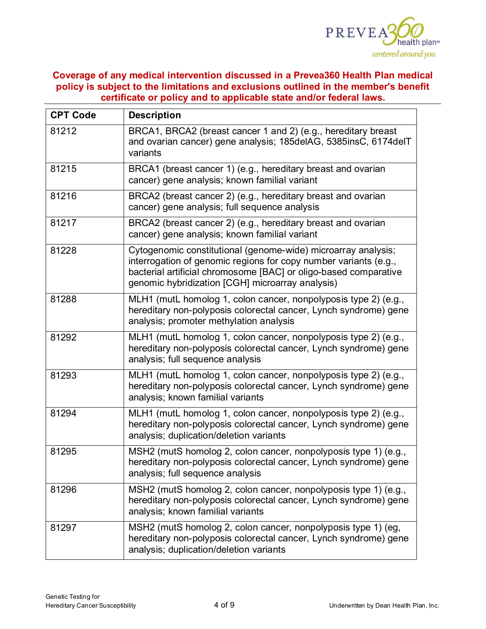

| <b>CPT Code</b> | <b>Description</b>                                                                                                                                                                                                                                        |  |
|-----------------|-----------------------------------------------------------------------------------------------------------------------------------------------------------------------------------------------------------------------------------------------------------|--|
| 81212           | BRCA1, BRCA2 (breast cancer 1 and 2) (e.g., hereditary breast<br>and ovarian cancer) gene analysis; 185delAG, 5385insC, 6174delT<br>variants                                                                                                              |  |
| 81215           | BRCA1 (breast cancer 1) (e.g., hereditary breast and ovarian<br>cancer) gene analysis; known familial variant                                                                                                                                             |  |
| 81216           | BRCA2 (breast cancer 2) (e.g., hereditary breast and ovarian<br>cancer) gene analysis; full sequence analysis                                                                                                                                             |  |
| 81217           | BRCA2 (breast cancer 2) (e.g., hereditary breast and ovarian<br>cancer) gene analysis; known familial variant                                                                                                                                             |  |
| 81228           | Cytogenomic constitutional (genome-wide) microarray analysis;<br>interrogation of genomic regions for copy number variants (e.g.,<br>bacterial artificial chromosome [BAC] or oligo-based comparative<br>genomic hybridization [CGH] microarray analysis) |  |
| 81288           | MLH1 (mutL homolog 1, colon cancer, nonpolyposis type 2) (e.g.,<br>hereditary non-polyposis colorectal cancer, Lynch syndrome) gene<br>analysis; promoter methylation analysis                                                                            |  |
| 81292           | MLH1 (mutL homolog 1, colon cancer, nonpolyposis type 2) (e.g.,<br>hereditary non-polyposis colorectal cancer, Lynch syndrome) gene<br>analysis; full sequence analysis                                                                                   |  |
| 81293           | MLH1 (mutL homolog 1, colon cancer, nonpolyposis type 2) (e.g.,<br>hereditary non-polyposis colorectal cancer, Lynch syndrome) gene<br>analysis; known familial variants                                                                                  |  |
| 81294           | MLH1 (mutL homolog 1, colon cancer, nonpolyposis type 2) (e.g.,<br>hereditary non-polyposis colorectal cancer, Lynch syndrome) gene<br>analysis; duplication/deletion variants                                                                            |  |
| 81295           | MSH2 (mutS homolog 2, colon cancer, nonpolyposis type 1) (e.g.,<br>hereditary non-polyposis colorectal cancer, Lynch syndrome) gene<br>analysis; full sequence analysis                                                                                   |  |
| 81296           | MSH2 (mutS homolog 2, colon cancer, nonpolyposis type 1) (e.g.,<br>hereditary non-polyposis colorectal cancer, Lynch syndrome) gene<br>analysis; known familial variants                                                                                  |  |
| 81297           | MSH2 (mutS homolog 2, colon cancer, nonpolyposis type 1) (eg,<br>hereditary non-polyposis colorectal cancer, Lynch syndrome) gene<br>analysis; duplication/deletion variants                                                                              |  |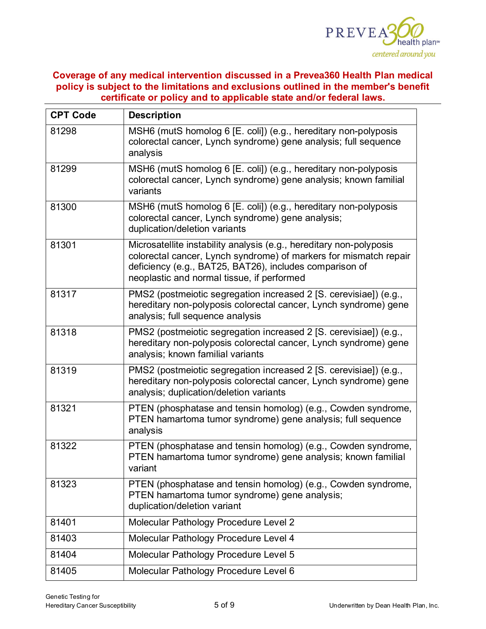

| <b>CPT Code</b> | <b>Description</b>                                                                                                                                                                                                                                |  |  |
|-----------------|---------------------------------------------------------------------------------------------------------------------------------------------------------------------------------------------------------------------------------------------------|--|--|
| 81298           | MSH6 (mutS homolog 6 [E. coli]) (e.g., hereditary non-polyposis<br>colorectal cancer, Lynch syndrome) gene analysis; full sequence<br>analysis                                                                                                    |  |  |
| 81299           | MSH6 (mutS homolog 6 [E. coli]) (e.g., hereditary non-polyposis<br>colorectal cancer, Lynch syndrome) gene analysis; known familial<br>variants                                                                                                   |  |  |
| 81300           | MSH6 (mutS homolog 6 [E. coli]) (e.g., hereditary non-polyposis<br>colorectal cancer, Lynch syndrome) gene analysis;<br>duplication/deletion variants                                                                                             |  |  |
| 81301           | Microsatellite instability analysis (e.g., hereditary non-polyposis<br>colorectal cancer, Lynch syndrome) of markers for mismatch repair<br>deficiency (e.g., BAT25, BAT26), includes comparison of<br>neoplastic and normal tissue, if performed |  |  |
| 81317           | PMS2 (postmeiotic segregation increased 2 [S. cerevisiae]) (e.g.,<br>hereditary non-polyposis colorectal cancer, Lynch syndrome) gene<br>analysis; full sequence analysis                                                                         |  |  |
| 81318           | PMS2 (postmeiotic segregation increased 2 [S. cerevisiae]) (e.g.,<br>hereditary non-polyposis colorectal cancer, Lynch syndrome) gene<br>analysis; known familial variants                                                                        |  |  |
| 81319           | PMS2 (postmeiotic segregation increased 2 [S. cerevisiae]) (e.g.,<br>hereditary non-polyposis colorectal cancer, Lynch syndrome) gene<br>analysis; duplication/deletion variants                                                                  |  |  |
| 81321           | PTEN (phosphatase and tensin homolog) (e.g., Cowden syndrome,<br>PTEN hamartoma tumor syndrome) gene analysis; full sequence<br>analysis                                                                                                          |  |  |
| 81322           | PTEN (phosphatase and tensin homolog) (e.g., Cowden syndrome,<br>PTEN hamartoma tumor syndrome) gene analysis; known familial<br>variant                                                                                                          |  |  |
| 81323           | PTEN (phosphatase and tensin homolog) (e.g., Cowden syndrome,<br>PTEN hamartoma tumor syndrome) gene analysis;<br>duplication/deletion variant                                                                                                    |  |  |
| 81401           | Molecular Pathology Procedure Level 2                                                                                                                                                                                                             |  |  |
| 81403           | Molecular Pathology Procedure Level 4                                                                                                                                                                                                             |  |  |
| 81404           | Molecular Pathology Procedure Level 5                                                                                                                                                                                                             |  |  |
| 81405           | Molecular Pathology Procedure Level 6                                                                                                                                                                                                             |  |  |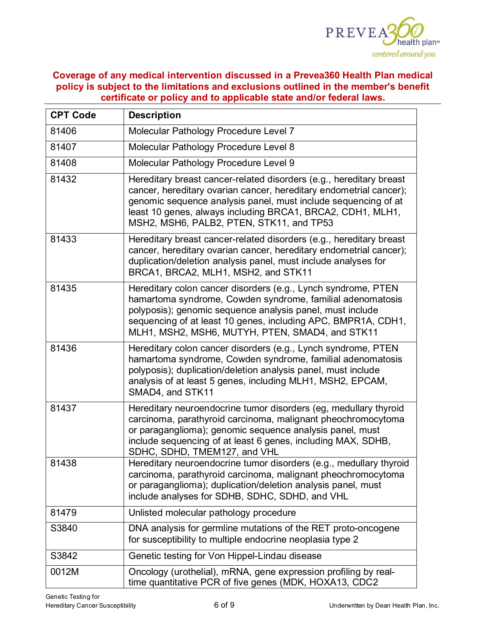

| <b>CPT Code</b> | <b>Description</b>                                                                                                                                                                                                                                                                                                    |  |
|-----------------|-----------------------------------------------------------------------------------------------------------------------------------------------------------------------------------------------------------------------------------------------------------------------------------------------------------------------|--|
| 81406           | Molecular Pathology Procedure Level 7                                                                                                                                                                                                                                                                                 |  |
| 81407           | Molecular Pathology Procedure Level 8                                                                                                                                                                                                                                                                                 |  |
| 81408           | Molecular Pathology Procedure Level 9                                                                                                                                                                                                                                                                                 |  |
| 81432           | Hereditary breast cancer-related disorders (e.g., hereditary breast<br>cancer, hereditary ovarian cancer, hereditary endometrial cancer);<br>genomic sequence analysis panel, must include sequencing of at<br>least 10 genes, always including BRCA1, BRCA2, CDH1, MLH1,<br>MSH2, MSH6, PALB2, PTEN, STK11, and TP53 |  |
| 81433           | Hereditary breast cancer-related disorders (e.g., hereditary breast<br>cancer, hereditary ovarian cancer, hereditary endometrial cancer);<br>duplication/deletion analysis panel, must include analyses for<br>BRCA1, BRCA2, MLH1, MSH2, and STK11                                                                    |  |
| 81435           | Hereditary colon cancer disorders (e.g., Lynch syndrome, PTEN<br>hamartoma syndrome, Cowden syndrome, familial adenomatosis<br>polyposis); genomic sequence analysis panel, must include<br>sequencing of at least 10 genes, including APC, BMPR1A, CDH1,<br>MLH1, MSH2, MSH6, MUTYH, PTEN, SMAD4, and STK11          |  |
| 81436           | Hereditary colon cancer disorders (e.g., Lynch syndrome, PTEN<br>hamartoma syndrome, Cowden syndrome, familial adenomatosis<br>polyposis); duplication/deletion analysis panel, must include<br>analysis of at least 5 genes, including MLH1, MSH2, EPCAM,<br>SMAD4, and STK11                                        |  |
| 81437           | Hereditary neuroendocrine tumor disorders (eg, medullary thyroid<br>carcinoma, parathyroid carcinoma, malignant pheochromocytoma<br>or paraganglioma); genomic sequence analysis panel, must<br>include sequencing of at least 6 genes, including MAX, SDHB,<br>SDHC, SDHD, TMEM127, and VHL                          |  |
| 81438           | Hereditary neuroendocrine tumor disorders (e.g., medullary thyroid<br>carcinoma, parathyroid carcinoma, malignant pheochromocytoma<br>or paraganglioma); duplication/deletion analysis panel, must<br>include analyses for SDHB, SDHC, SDHD, and VHL                                                                  |  |
| 81479           | Unlisted molecular pathology procedure                                                                                                                                                                                                                                                                                |  |
| S3840           | DNA analysis for germline mutations of the RET proto-oncogene<br>for susceptibility to multiple endocrine neoplasia type 2                                                                                                                                                                                            |  |
| S3842           | Genetic testing for Von Hippel-Lindau disease                                                                                                                                                                                                                                                                         |  |
| 0012M           | Oncology (urothelial), mRNA, gene expression profiling by real-<br>time quantitative PCR of five genes (MDK, HOXA13, CDC2                                                                                                                                                                                             |  |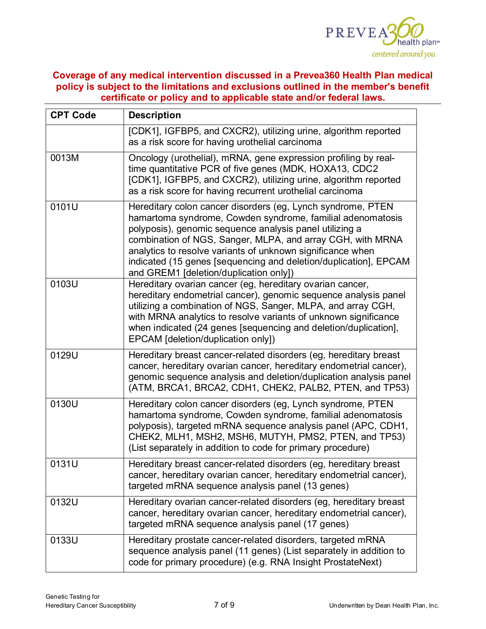

| <b>CPT Code</b> | <b>Description</b>                                                                                                                                                                                                                                                                                                                                                                                                             |  |
|-----------------|--------------------------------------------------------------------------------------------------------------------------------------------------------------------------------------------------------------------------------------------------------------------------------------------------------------------------------------------------------------------------------------------------------------------------------|--|
|                 | [CDK1], IGFBP5, and CXCR2), utilizing urine, algorithm reported<br>as a risk score for having urothelial carcinoma                                                                                                                                                                                                                                                                                                             |  |
| 0013M           | Oncology (urothelial), mRNA, gene expression profiling by real-<br>time quantitative PCR of five genes (MDK, HOXA13, CDC2<br>[CDK1], IGFBP5, and CXCR2), utilizing urine, algorithm reported<br>as a risk score for having recurrent urothelial carcinoma                                                                                                                                                                      |  |
| 0101U           | Hereditary colon cancer disorders (eg, Lynch syndrome, PTEN<br>hamartoma syndrome, Cowden syndrome, familial adenomatosis<br>polyposis), genomic sequence analysis panel utilizing a<br>combination of NGS, Sanger, MLPA, and array CGH, with MRNA<br>analytics to resolve variants of unknown significance when<br>indicated (15 genes [sequencing and deletion/duplication], EPCAM<br>and GREM1 [deletion/duplication only]) |  |
| 0103U           | Hereditary ovarian cancer (eg, hereditary ovarian cancer,<br>hereditary endometrial cancer), genomic sequence analysis panel<br>utilizing a combination of NGS, Sanger, MLPA, and array CGH,<br>with MRNA analytics to resolve variants of unknown significance<br>when indicated (24 genes [sequencing and deletion/duplication],<br>EPCAM [deletion/duplication only])                                                       |  |
| 0129U           | Hereditary breast cancer-related disorders (eg, hereditary breast<br>cancer, hereditary ovarian cancer, hereditary endometrial cancer),<br>genomic sequence analysis and deletion/duplication analysis panel<br>(ATM, BRCA1, BRCA2, CDH1, CHEK2, PALB2, PTEN, and TP53)                                                                                                                                                        |  |
| 0130U           | Hereditary colon cancer disorders (eg, Lynch syndrome, PTEN<br>hamartoma syndrome, Cowden syndrome, familial adenomatosis<br>polyposis), targeted mRNA sequence analysis panel (APC, CDH1,<br>CHEK2, MLH1, MSH2, MSH6, MUTYH, PMS2, PTEN, and TP53)<br>(List separately in addition to code for primary procedure)                                                                                                             |  |
| 0131U           | Hereditary breast cancer-related disorders (eg, hereditary breast<br>cancer, hereditary ovarian cancer, hereditary endometrial cancer),<br>targeted mRNA sequence analysis panel (13 genes)                                                                                                                                                                                                                                    |  |
| 0132U           | Hereditary ovarian cancer-related disorders (eg, hereditary breast<br>cancer, hereditary ovarian cancer, hereditary endometrial cancer),<br>targeted mRNA sequence analysis panel (17 genes)                                                                                                                                                                                                                                   |  |
| 0133U           | Hereditary prostate cancer-related disorders, targeted mRNA<br>sequence analysis panel (11 genes) (List separately in addition to<br>code for primary procedure) (e.g. RNA Insight ProstateNext)                                                                                                                                                                                                                               |  |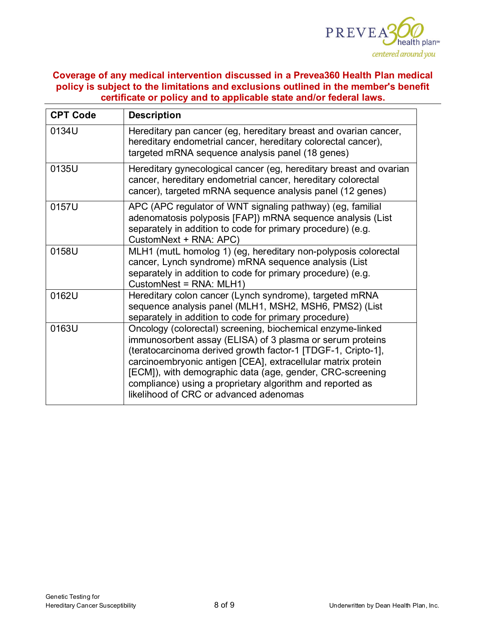

| <b>CPT Code</b> | <b>Description</b>                                                                                                                                                                                                                                                                                                                                                                                                          |  |
|-----------------|-----------------------------------------------------------------------------------------------------------------------------------------------------------------------------------------------------------------------------------------------------------------------------------------------------------------------------------------------------------------------------------------------------------------------------|--|
| 0134U           | Hereditary pan cancer (eg, hereditary breast and ovarian cancer,<br>hereditary endometrial cancer, hereditary colorectal cancer),<br>targeted mRNA sequence analysis panel (18 genes)                                                                                                                                                                                                                                       |  |
| 0135U           | Hereditary gynecological cancer (eg, hereditary breast and ovarian<br>cancer, hereditary endometrial cancer, hereditary colorectal<br>cancer), targeted mRNA sequence analysis panel (12 genes)                                                                                                                                                                                                                             |  |
| 0157U           | APC (APC regulator of WNT signaling pathway) (eg, familial<br>adenomatosis polyposis [FAP]) mRNA sequence analysis (List<br>separately in addition to code for primary procedure) (e.g.<br>CustomNext + RNA: APC)                                                                                                                                                                                                           |  |
| 0158U           | MLH1 (mutL homolog 1) (eg, hereditary non-polyposis colorectal<br>cancer, Lynch syndrome) mRNA sequence analysis (List<br>separately in addition to code for primary procedure) (e.g.<br>CustomNest = RNA: MLH1)                                                                                                                                                                                                            |  |
| 0162U           | Hereditary colon cancer (Lynch syndrome), targeted mRNA<br>sequence analysis panel (MLH1, MSH2, MSH6, PMS2) (List<br>separately in addition to code for primary procedure)                                                                                                                                                                                                                                                  |  |
| 0163U           | Oncology (colorectal) screening, biochemical enzyme-linked<br>immunosorbent assay (ELISA) of 3 plasma or serum proteins<br>(teratocarcinoma derived growth factor-1 [TDGF-1, Cripto-1],<br>carcinoembryonic antigen [CEA], extracellular matrix protein<br>[ECM]), with demographic data (age, gender, CRC-screening<br>compliance) using a proprietary algorithm and reported as<br>likelihood of CRC or advanced adenomas |  |